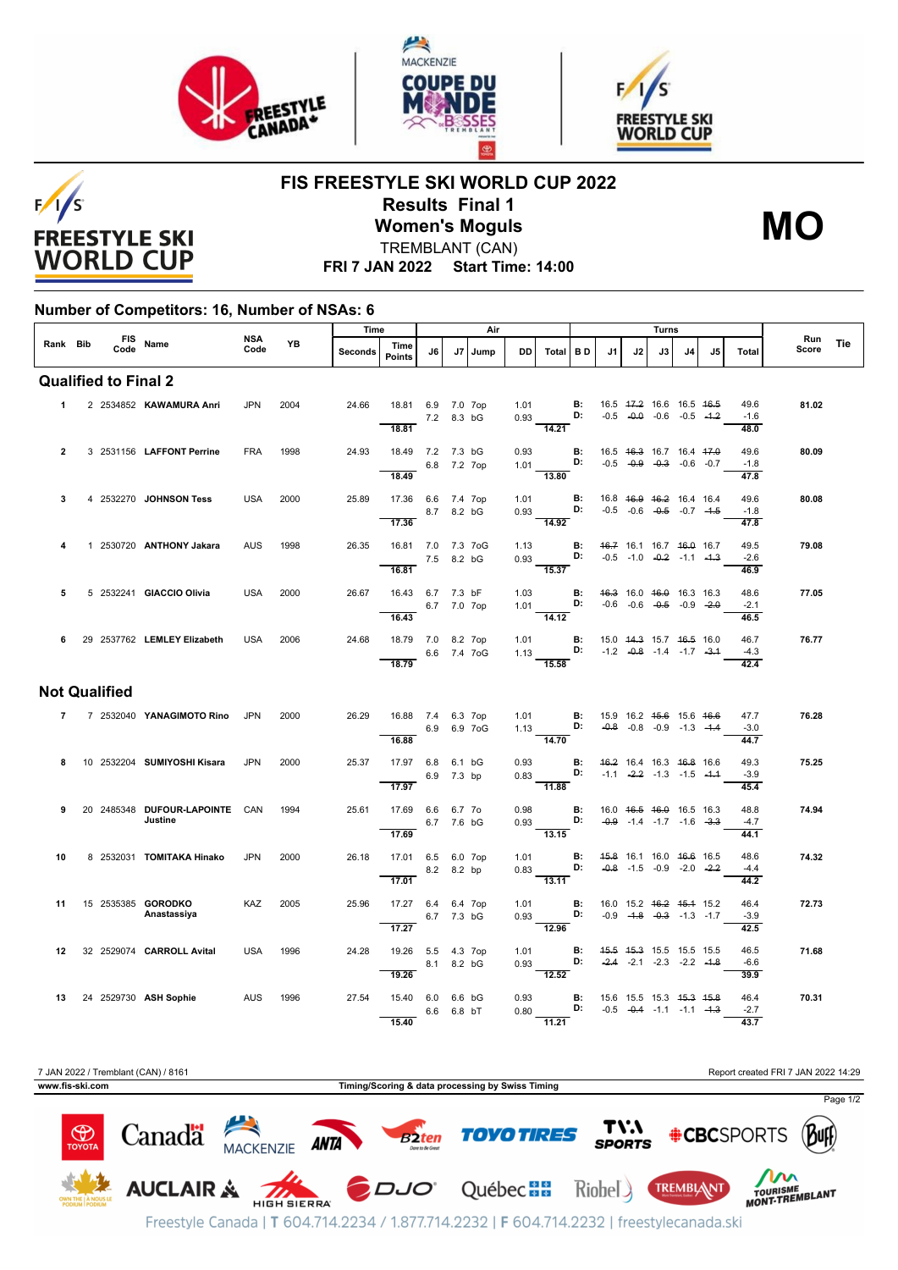





**FIS FREESTYLE SKI WORLD CUP 2022 Results Final 1**





**FRI 7 JAN 2022 Start Time: 14:00** TREMBLANT (CAN)

**Women's Moguls**

## **Number of Competitors: 16, Number of NSAs: 6**

|                      |                             |  |  | FIS Name                          |             |      | Time    |                                          | Air        |    |      |              |                                                                                                             |                |    | Turns |                                                                |    |    |                        |              |     |
|----------------------|-----------------------------|--|--|-----------------------------------|-------------|------|---------|------------------------------------------|------------|----|------|--------------|-------------------------------------------------------------------------------------------------------------|----------------|----|-------|----------------------------------------------------------------|----|----|------------------------|--------------|-----|
| Rank Bib             |                             |  |  |                                   | NSA<br>Code | YB   | Seconds | Time<br><b>Points</b>                    | J6         | J7 | Jump | DD           | Total                                                                                                       | I B D          | J1 | J2    | J3                                                             | J4 | J5 | Total                  | Run<br>Score | Tie |
|                      | <b>Qualified to Final 2</b> |  |  |                                   |             |      |         |                                          |            |    |      |              |                                                                                                             |                |    |       |                                                                |    |    |                        |              |     |
|                      | $1 \quad$                   |  |  | 2 2534852 KAWAMURA Anri           | <b>JPN</b>  | 2004 | 24.66   | 18.81 6.9 7.0 7op<br>7.2 8.3 bG          |            |    |      |              | $1.01$ B:<br>0.93 D:                                                                                        | <b>B:</b>      |    |       | 16.5 47.2 16.6 16.5 46.5<br>$-0.5$ $-0.0$ $-0.6$ $-0.5$ $-4.2$ |    |    | 49.6<br>$-1.6$         | 81.02        |     |
|                      |                             |  |  |                                   |             |      |         | 18.81                                    |            |    |      |              | 14.21                                                                                                       |                |    |       |                                                                |    |    | 48.0                   |              |     |
| $\overline{2}$       |                             |  |  | 3 2531156 LAFFONT Perrine         | <b>FRA</b>  | 1998 | 24.93   | 18.49 7.2 7.3 bG<br>6.8 7.2 7op          |            |    |      | 0.93         | 0.93 <b>B:</b> 16.5 4 <del>6.3</del> 16.7 16.4 47.0<br>1.01 <b>D:</b> -0.5 -0.9 -0.3 -0.6 -0.7              | В:             |    |       | 16.5 <del>16.3</del> 16.7 16.4 <del>17.0</del>                 |    |    | 49.6<br>$-1.8$         | 80.09        |     |
|                      |                             |  |  |                                   |             |      |         | $\overline{18.49}$                       |            |    |      |              | $\overline{13.80}$                                                                                          |                |    |       |                                                                |    |    | $\frac{47.8}{ }$       |              |     |
| 3                    |                             |  |  | 4 2532270 JOHNSON Tess            | <b>USA</b>  | 2000 | 25.89   | 17.36 6.6 7.4 7op<br>8.7 8.2 bG<br>17.36 |            |    |      | 1.01         | $0.93$ D:<br>$\frac{1}{14.92}$                                                                              | <b>B:</b>      |    |       | 16.8 46.9 46.2 16.4 16.4<br>$-0.5$ $-0.6$ $-0.5$ $-0.7$ $-4.5$ |    |    | 49.6<br>$-1.8$<br>47.8 | 80.08        |     |
| 4                    |                             |  |  | 1 2530720 ANTHONY Jakara          | <b>AUS</b>  | 1998 | 26.35   | 16.81 7.0 7.3 7oG                        |            |    |      | 1.13         |                                                                                                             |                |    |       | <b>B:</b> 46.7 16.1 16.7 46.0 16.7                             |    |    | 49.5                   | 79.08        |     |
|                      |                             |  |  |                                   |             |      |         | 7.5 8.2 bG<br>16.81                      |            |    |      |              | 15.37                                                                                                       |                |    |       |                                                                |    |    | $-2.6$<br>46.9         |              |     |
| 5                    |                             |  |  | 5 2532241 GIACCIO Olivia          | <b>USA</b>  | 2000 | 26.67   | 16.43 6.7 7.3 bF                         |            |    |      | 1.03         |                                                                                                             | <b>B:</b>      |    |       | 46.3 16.0 46.0 16.3 16.3                                       |    |    | 48.6                   | 77.05        |     |
|                      |                             |  |  |                                   |             |      |         | 6.7 7.0 7op<br>16.43                     |            |    |      |              | 1.01 <b>D:</b><br>14.12                                                                                     |                |    |       | $-0.6$ $-0.6$ $-0.5$ $-0.9$ $-2.0$                             |    |    | $-2.1$<br>46.5         |              |     |
|                      |                             |  |  | 6 29 2537762 LEMLEY Elizabeth     | USA         | 2006 | 24.68   | 18.79 7.0 8.2 7op<br>$- 6.6$ 7.4 7og     |            |    |      |              | 1.01 <b>B</b> : 15.0 <del>14.3</del> 15.7 <del>16.5</del> 16.0<br>1.13 <b>D:</b> -1.2 -0.8 -1.4 -1.7 -3.4   |                |    |       |                                                                |    |    | 46.7<br>$-4.3$         | 76.77        |     |
|                      |                             |  |  |                                   |             |      |         | 18.79                                    |            |    |      |              | $\frac{1}{15.58}$                                                                                           |                |    |       |                                                                |    |    | 42.4                   |              |     |
| <b>Not Qualified</b> |                             |  |  |                                   |             |      |         |                                          |            |    |      |              |                                                                                                             |                |    |       |                                                                |    |    |                        |              |     |
|                      |                             |  |  | 7 7 2532040 YANAGIMOTO Rino JPN   |             | 2000 | 26.29   | 16.88 7.4 6.3 7op<br>6.9 6.9 7oG         |            |    |      |              | 1.01 <b>B</b> : 15.9 16.2 <del>15.6</del> 15.6 <del>16.6</del><br>1.13 <b>D:</b> -0.8 -0.8 -0.9 -1.3 -1.4   |                |    |       |                                                                |    |    | 47.7<br>$-3.0$         | 76.28        |     |
|                      |                             |  |  |                                   |             |      |         | 16.88                                    |            |    |      |              | $\frac{1}{14.70}$                                                                                           |                |    |       |                                                                |    |    | 44.7                   |              |     |
| 8                    |                             |  |  | 10 2532204 SUMIYOSHI Kisara       | <b>JPN</b>  | 2000 | 25.37   | 17.97 6.8 6.1 bG<br>17.97                | 6.9 7.3 bp |    |      | 0.93         | $0.83$ D:<br>$\overline{11.88}$                                                                             | $\mathbf{B}$ : |    |       | 46.2 16.4 16.3 46.8 16.6<br>$-1.1$ $-2.2$ $-1.3$ $-1.5$ $-1.4$ |    |    | 49.3<br>$-3.9$         | 75.25        |     |
| 9                    |                             |  |  | 20 2485348 DUFOUR-LAPOINTE CAN    |             | 1994 | 25.61   | 17.69 6.6 6.7 7o                         |            |    |      | 0.98         |                                                                                                             |                |    |       | <b>B:</b> 16.0 $46.5$ $46.0$ 16.5 16.3                         |    |    | 45.4<br>48.8           | 74.94        |     |
|                      |                             |  |  | Justine                           |             |      |         | 6.7 7.6 bG<br>17.69                      |            |    |      |              | 0.93 D: $-0.9$ -1.4 -1.7 -1.6 -3.3<br>$\frac{1}{13.15}$                                                     |                |    |       |                                                                |    |    | $-4.7$<br>44.1         |              |     |
| 10                   |                             |  |  | 8 2532031 TOMITAKA Hinako         | <b>JPN</b>  | 2000 | 26.18   | 17.01 6.5 6.0 7op                        |            |    |      | 1.01         |                                                                                                             | $\mathbf{B}$ : |    |       | 45.8 16.1 16.0 46.6 16.5                                       |    |    | 48.6                   | 74.32        |     |
|                      |                             |  |  |                                   |             |      |         | 17.01                                    | 8.2 8.2 bp |    |      |              | $0.83$ D:<br>$\overline{13.11}$                                                                             |                |    |       | $-0.8$ $-1.5$ $-0.9$ $-2.0$ $-2.2$                             |    |    | $-4.4$<br>44.2         |              |     |
| 11                   |                             |  |  | 15 2535385 GORODKO<br>Anastassiya | KAZ         | 2005 | 25.96   | 17.27 6.4 6.4 7op                        | 6.7 7.3 bG |    |      | 1.01<br>0.93 | <b>D:</b> $-0.9$ $-4.8$ $-0.3$ $-1.3$ $-1.7$                                                                |                |    |       | <b>B:</b> 16.0 15.2 <del>16.2</del> <del>15.1</del> 15.2       |    |    | 46.4<br>$-3.9$         | 72.73        |     |
|                      |                             |  |  |                                   |             |      |         | 17.27                                    |            |    |      |              | 12.96                                                                                                       |                |    |       |                                                                |    |    | 42.5                   |              |     |
| 12 <sup>12</sup>     |                             |  |  | 32 2529074 CARROLL Avital         | <b>USA</b>  | 1996 | 24.28   | 19.26 5.5 4.3 7op                        | 8.1 8.2 bG |    |      |              | 1.01 <b>B</b> : 4 <del>5.5</del> 4 <del>5.3</del> 15.5 15.5 15.5<br>0.93 <b>D:</b> -2.4 -2.1 -2.3 -2.2 -4.8 |                |    |       |                                                                |    |    | 46.5<br>$-6.6$         | 71.68        |     |
|                      |                             |  |  | 13 24 2529730 ASH Sophie          | AUS         | 1996 | 27.54   | 19.26<br>15.40 6.0 6.6 bG                |            |    |      | 0.93         | $\overline{12.52}$                                                                                          |                |    |       | <b>B:</b> 15.6 15.5 15.3 <del>15.3 15.8</del>                  |    |    | 39.9<br>46.4           | 70.31        |     |
|                      |                             |  |  |                                   |             |      |         | 15.40                                    | 6.6 6.8 bT |    |      |              | 0.80 <b>D:</b> $-0.5$ $-0.4$ $-1.1$ $-1.1$ $-1.3$<br>$\overline{11.21}$                                     |                |    |       |                                                                |    |    | $-2.7$<br>43.7         |              |     |